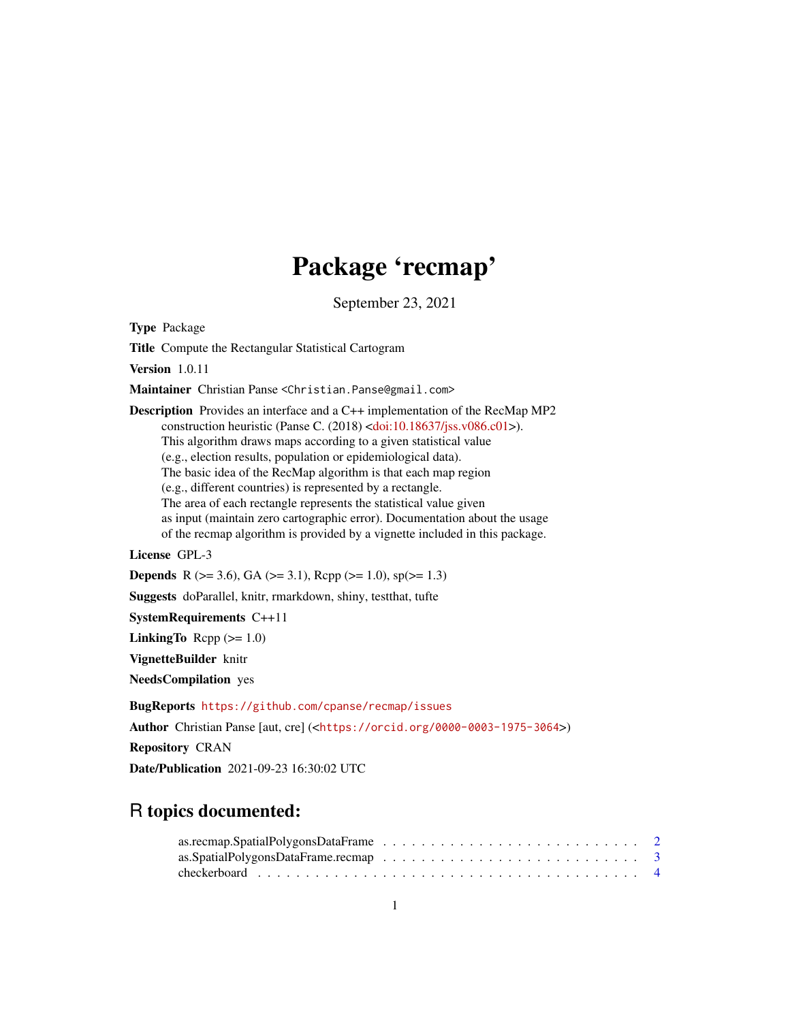# Package 'recmap'

September 23, 2021

<span id="page-0-0"></span>Type Package

Title Compute the Rectangular Statistical Cartogram

Version 1.0.11

Maintainer Christian Panse <Christian.Panse@gmail.com>

Description Provides an interface and a C++ implementation of the RecMap MP2 construction heuristic (Panse C. (2018) [<doi:10.18637/jss.v086.c01>](https://doi.org/10.18637/jss.v086.c01)). This algorithm draws maps according to a given statistical value (e.g., election results, population or epidemiological data). The basic idea of the RecMap algorithm is that each map region (e.g., different countries) is represented by a rectangle. The area of each rectangle represents the statistical value given as input (maintain zero cartographic error). Documentation about the usage of the recmap algorithm is provided by a vignette included in this package.

License GPL-3

**Depends** R ( $>= 3.6$ ), GA ( $>= 3.1$ ), Rcpp ( $>= 1.0$ ), sp( $>= 1.3$ )

Suggests doParallel, knitr, rmarkdown, shiny, testthat, tufte

SystemRequirements C++11

LinkingTo Rcpp  $(>= 1.0)$ 

VignetteBuilder knitr

NeedsCompilation yes

BugReports <https://github.com/cpanse/recmap/issues>

Author Christian Panse [aut, cre] (<<https://orcid.org/0000-0003-1975-3064>>)

Repository CRAN

Date/Publication 2021-09-23 16:30:02 UTC

# R topics documented: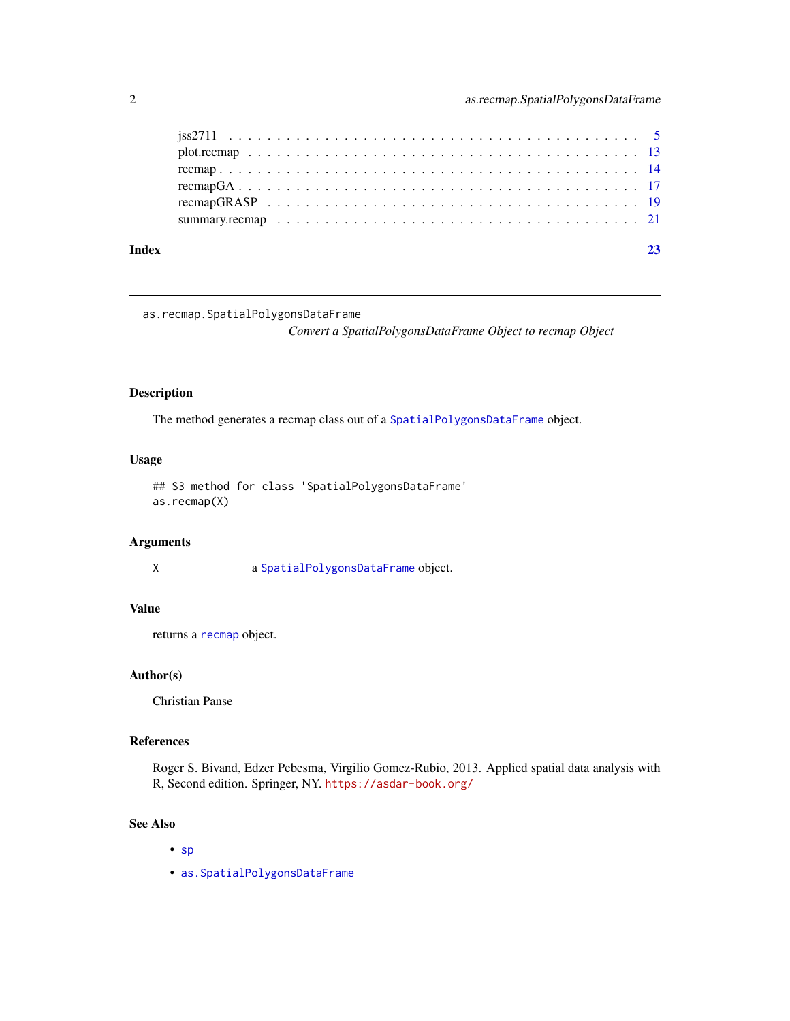<span id="page-1-0"></span>

| Index |  |
|-------|--|
|       |  |
|       |  |
|       |  |
|       |  |
|       |  |
|       |  |

as.recmap.SpatialPolygonsDataFrame

*Convert a SpatialPolygonsDataFrame Object to recmap Object*

#### Description

The method generates a recmap class out of a [SpatialPolygonsDataFrame](#page-0-0) object.

#### Usage

## S3 method for class 'SpatialPolygonsDataFrame' as.recmap(X)

#### Arguments

X a [SpatialPolygonsDataFrame](#page-0-0) object.

#### Value

returns a [recmap](#page-13-1) object.

#### Author(s)

Christian Panse

#### References

Roger S. Bivand, Edzer Pebesma, Virgilio Gomez-Rubio, 2013. Applied spatial data analysis with R, Second edition. Springer, NY. <https://asdar-book.org/>

# See Also

- [sp](#page-0-0)
- [as.SpatialPolygonsDataFrame](#page-2-1)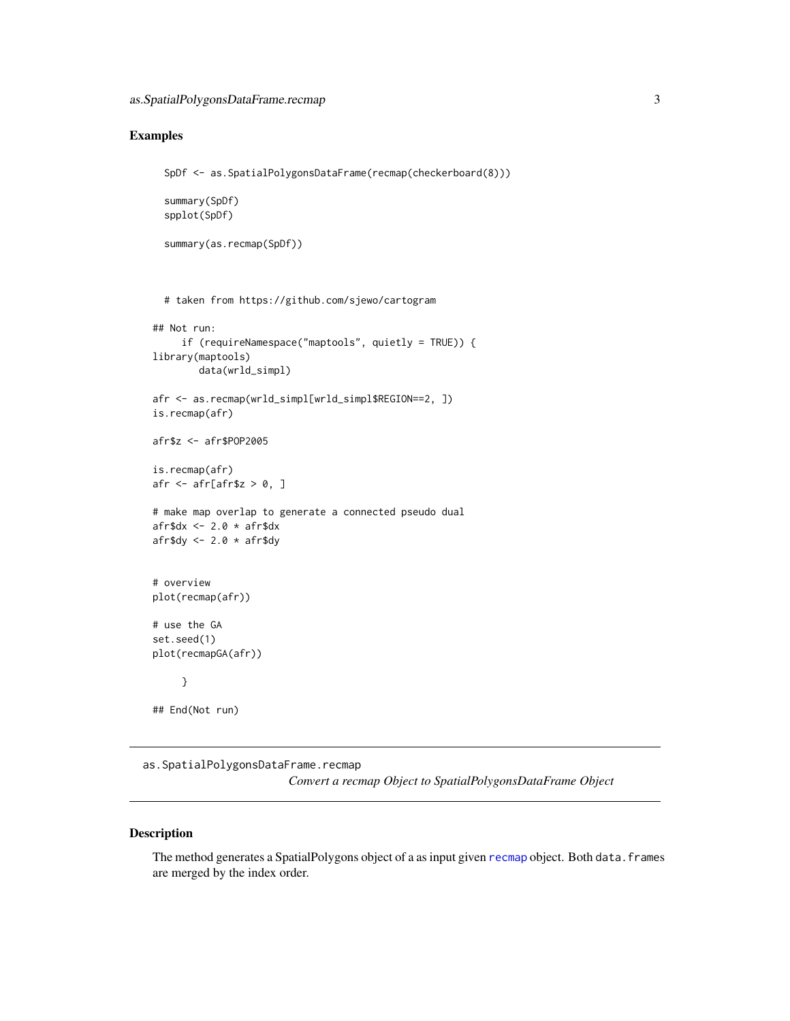#### <span id="page-2-0"></span>Examples

```
SpDf <- as.SpatialPolygonsDataFrame(recmap(checkerboard(8)))
```

```
summary(SpDf)
spplot(SpDf)
```

```
summary(as.recmap(SpDf))
```

```
# taken from https://github.com/sjewo/cartogram
```

```
## Not run:
     if (requireNamespace("maptools", quietly = TRUE)) {
library(maptools)
        data(wrld_simpl)
afr <- as.recmap(wrld_simpl[wrld_simpl$REGION==2, ])
is.recmap(afr)
afr$z <- afr$POP2005
is.recmap(afr)
afr \leq afr[afr$z > 0, ]
# make map overlap to generate a connected pseudo dual
afrdx <- 2.0 * afrdx
afr$dy <-2.0 \times afr$dy
# overview
plot(recmap(afr))
# use the GA
set.seed(1)
plot(recmapGA(afr))
     }
```
## End(Not run)

as.SpatialPolygonsDataFrame.recmap *Convert a recmap Object to SpatialPolygonsDataFrame Object*

#### <span id="page-2-1"></span>Description

The method generates a SpatialPolygons object of a as input given [recmap](#page-13-1) object. Both data. frames are merged by the index order.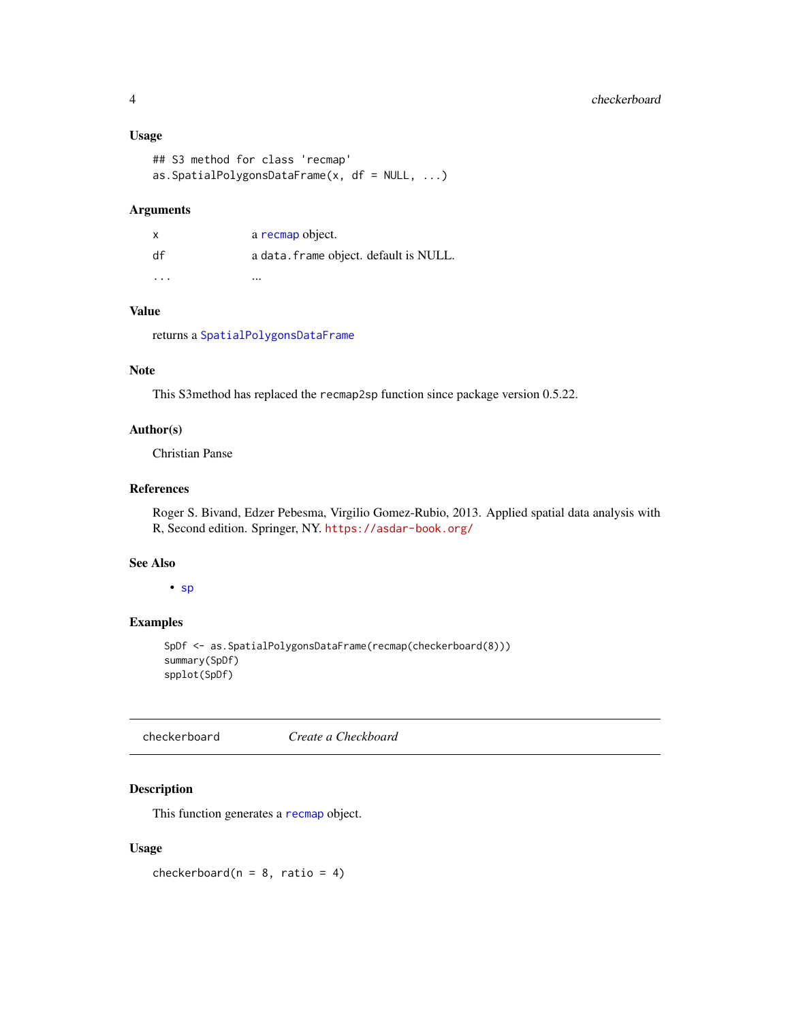#### <span id="page-3-0"></span>Usage

```
## S3 method for class 'recmap'
as.SpatialPolygonsDataFrame(x, df = NULL, ...)
```
#### Arguments

| x        | a recmap object.                       |
|----------|----------------------------------------|
| df       | a data. frame object. default is NULL. |
| $\cdots$ | $\cdots$                               |

#### Value

returns a [SpatialPolygonsDataFrame](#page-0-0)

#### Note

This S3method has replaced the recmap2sp function since package version 0.5.22.

#### Author(s)

Christian Panse

## References

Roger S. Bivand, Edzer Pebesma, Virgilio Gomez-Rubio, 2013. Applied spatial data analysis with R, Second edition. Springer, NY. <https://asdar-book.org/>

#### See Also

• [sp](#page-0-0)

#### Examples

SpDf <- as.SpatialPolygonsDataFrame(recmap(checkerboard(8))) summary(SpDf) spplot(SpDf)

checkerboard *Create a Checkboard*

### Description

This function generates a [recmap](#page-13-1) object.

#### Usage

checkerboard( $n = 8$ , ratio = 4)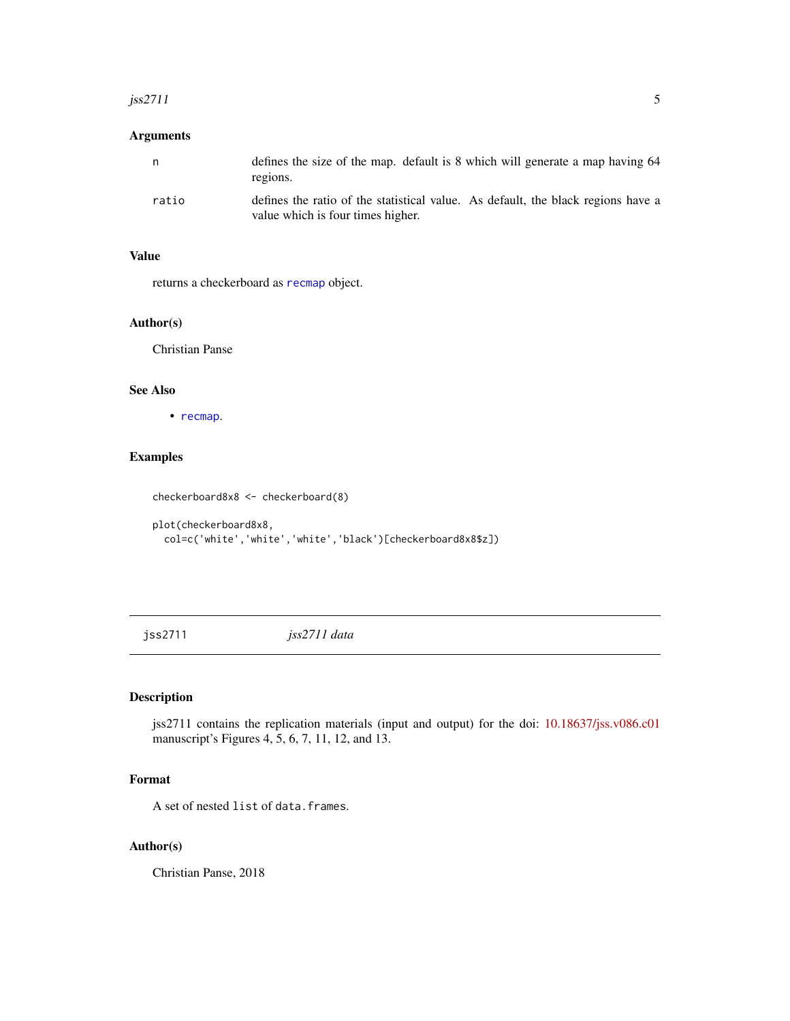#### <span id="page-4-0"></span> $j$ ss2711 5

#### Arguments

| n     | defines the size of the map, default is 8 which will generate a map having 64<br>regions.                             |
|-------|-----------------------------------------------------------------------------------------------------------------------|
| ratio | defines the ratio of the statistical value. As default, the black regions have a<br>value which is four times higher. |

#### Value

returns a checkerboard as [recmap](#page-13-1) object.

#### Author(s)

Christian Panse

# See Also

• [recmap](#page-13-1).

#### Examples

checkerboard8x8 <- checkerboard(8)

```
plot(checkerboard8x8,
  col=c('white','white','white','black')[checkerboard8x8$z])
```
jss2711 *jss2711 data*

### Description

jss2711 contains the replication materials (input and output) for the doi: [10.18637/jss.v086.c01](https://doi.org/10.18637/jss.v086.c01) manuscript's Figures 4, 5, 6, 7, 11, 12, and 13.

#### Format

A set of nested list of data.frames.

#### Author(s)

Christian Panse, 2018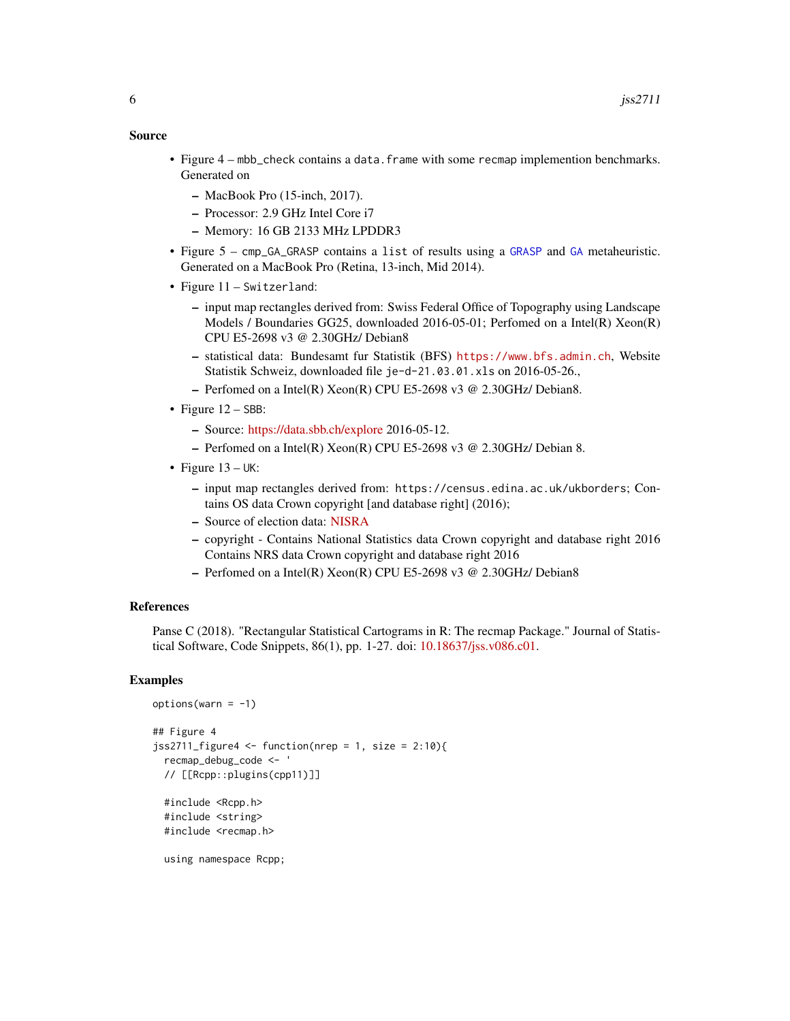#### <span id="page-5-0"></span>Source

- Figure 4 mbb\_check contains a data. frame with some recmap implemention benchmarks. Generated on
	- MacBook Pro (15-inch, 2017).
	- Processor: 2.9 GHz Intel Core i7
	- Memory: 16 GB 2133 MHz LPDDR3
- Figure 5 cmp\_GA\_GRASP contains a list of results using a [GRASP](#page-0-0) and [GA](#page-0-0) metaheuristic. Generated on a MacBook Pro (Retina, 13-inch, Mid 2014).
- Figure 11 Switzerland:
	- input map rectangles derived from: Swiss Federal Office of Topography using Landscape Models / Boundaries GG25, downloaded 2016-05-01; Perfomed on a Intel(R) Xeon(R) CPU E5-2698 v3 @ 2.30GHz/ Debian8
	- statistical data: Bundesamt fur Statistik (BFS) <https://www.bfs.admin.ch>, Website Statistik Schweiz, downloaded file je-d-21.03.01.xls on 2016-05-26.,
	- Perfomed on a Intel(R) Xeon(R) CPU E5-2698 v3 @ 2.30GHz/ Debian8.
- Figure  $12 SBB$ :
	- Source: [https://data.sbb.ch/explore](https://data.sbb.ch/explore/?sort=explore.download_count&refine.modified=2016) 2016-05-12.
	- Perfomed on a Intel(R) Xeon(R) CPU E5-2698 v3 @ 2.30GHz/ Debian 8.
- Figure  $13 UK$ :
	- input map rectangles derived from: https://census.edina.ac.uk/ukborders; Contains OS data Crown copyright [and database right] (2016);
	- Source of election data: [NISRA](https://www.nisra.gov.uk)
	- copyright Contains National Statistics data Crown copyright and database right 2016 Contains NRS data Crown copyright and database right 2016
	- Perfomed on a Intel(R) Xeon(R) CPU E5-2698 v3 @ 2.30GHz/ Debian8

#### References

Panse C (2018). "Rectangular Statistical Cartograms in R: The recmap Package." Journal of Statistical Software, Code Snippets, 86(1), pp. 1-27. doi: [10.18637/jss.v086.c01.](https://doi.org/10.18637/jss.v086.c01)

#### Examples

```
options(varn = -1)## Figure 4
jss2711_figure4 <- function(nrep = 1, size = 2:10){
 recmap_debug_code <- '
 // [[Rcpp::plugins(cpp11)]]
 #include <Rcpp.h>
 #include <string>
 #include <recmap.h>
```
using namespace Rcpp;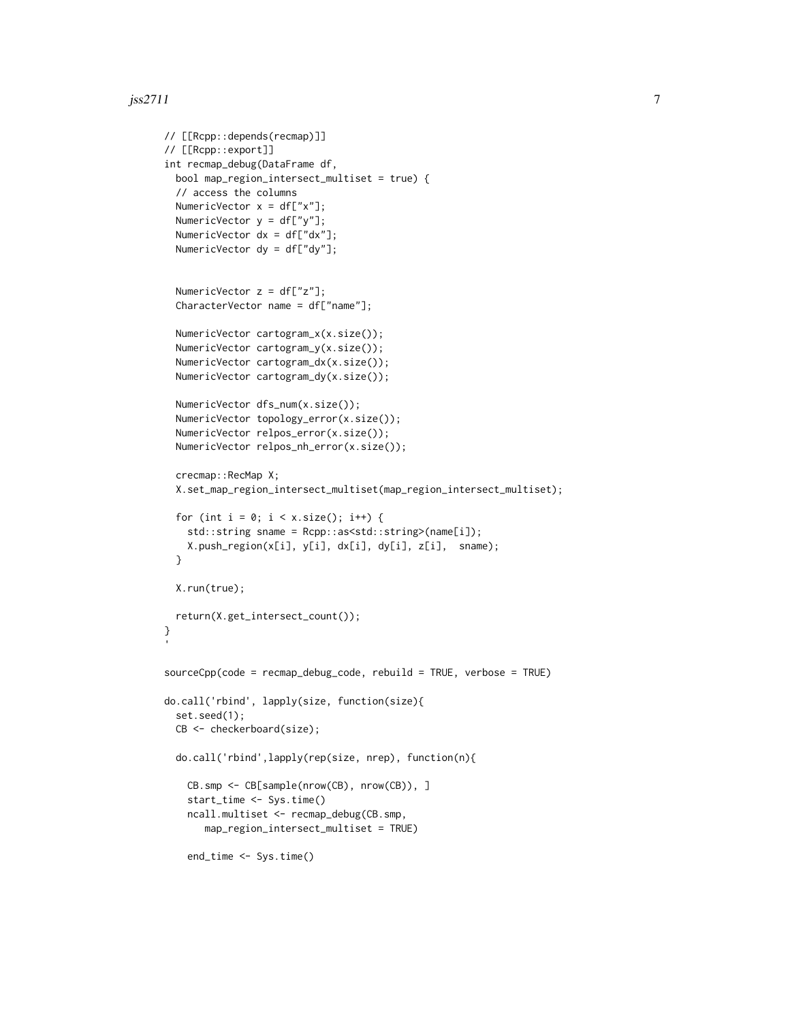#### $j$ ss2711 7

```
// [[Rcpp::depends(recmap)]]
// [[Rcpp::export]]
int recmap_debug(DataFrame df,
 bool map_region_intersect_multiset = true) {
  // access the columns
  NumericVector x = df['x"];
  NumericVector y = df['y''];
  NumericVector dx = df["dx"];
  NumericVector dy = df["dy"];
  NumericVector z = df['z''];
  CharacterVector name = df["name"];
  NumericVector cartogram_x(x.size());
  NumericVector cartogram_y(x.size());
  NumericVector cartogram_dx(x.size());
  NumericVector cartogram_dy(x.size());
  NumericVector dfs_num(x.size());
  NumericVector topology_error(x.size());
  NumericVector relpos_error(x.size());
  NumericVector relpos_nh_error(x.size());
  crecmap::RecMap X;
  X.set_map_region_intersect_multiset(map_region_intersect_multiset);
  for (int i = 0; i < x.size(); i++) {
    std::string sname = Rcpp::as<std::string>(name[i]);
    X.push_region(x[i], y[i], dx[i], dy[i], z[i], sname);
  }
  X.run(true);
  return(X.get_intersect_count());
}
sourceCpp(code = recmap_debug_code, rebuild = TRUE, verbose = TRUE)
do.call('rbind', lapply(size, function(size){
  set.seed(1);
  CB <- checkerboard(size);
  do.call('rbind',lapply(rep(size, nrep), function(n){
    CB.smp <- CB[sample(nrow(CB), nrow(CB)), ]
    start_time <- Sys.time()
    ncall.multiset <- recmap_debug(CB.smp,
      map_region_intersect_multiset = TRUE)
    end_time <- Sys.time()
```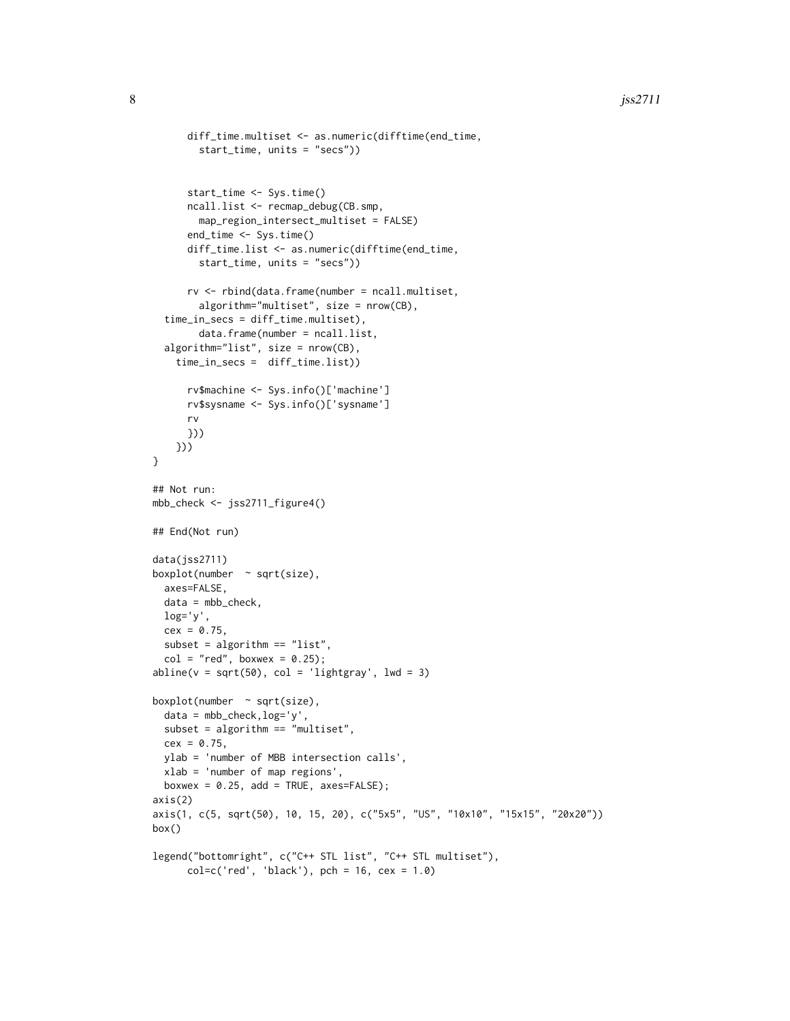```
diff_time.multiset <- as.numeric(difftime(end_time,
        start_time, units = "secs"))
      start_time <- Sys.time()
      ncall.list <- recmap_debug(CB.smp,
       map_region_intersect_multiset = FALSE)
      end_time <- Sys.time()
      diff_time.list <- as.numeric(difftime(end_time,
        start_time, units = "secs"))
      rv <- rbind(data.frame(number = ncall.multiset,
        algorithm="multiset", size = nrow(CB),
  time_in_secs = diff_time.multiset),
        data.frame(number = ncall.list,
  algorithm="list", size = nrow(CB),
    time_in_secs = diff_time.list))
      rv$machine <- Sys.info()['machine']
      rv$sysname <- Sys.info()['sysname']
      rv
     }))
    }))
}
## Not run:
mbb_check <- jss2711_figure4()
## End(Not run)
data(jss2711)
boxplot(number \sim sqrt(size),
  axes=FALSE,
  data = mbb_check,
  log='y',
  cex = 0.75,
  subset = algorithm == "list",
  col = "red", boxwex = 0.25);abline(v = sqrt(50), col = 'lightgray', lwd = 3)boxplot(number \sim sqrt(size),
  data = mbb_check,log='y',
  subset = algorithm == "multiset",
  cex = 0.75,
  ylab = 'number of MBB intersection calls',
  xlab = 'number of map regions',
  boxwex = 0.25, add = TRUE, axes=FALSE);
axis(2)
axis(1, c(5, sqrt(50), 10, 15, 20), c("5x5", "US", "10x10", "15x15", "20x20"))
box()
legend("bottomright", c("C++ STL list", "C++ STL multiset"),
      col=c('red', 'black'), pch = 16, cex = 1.0)
```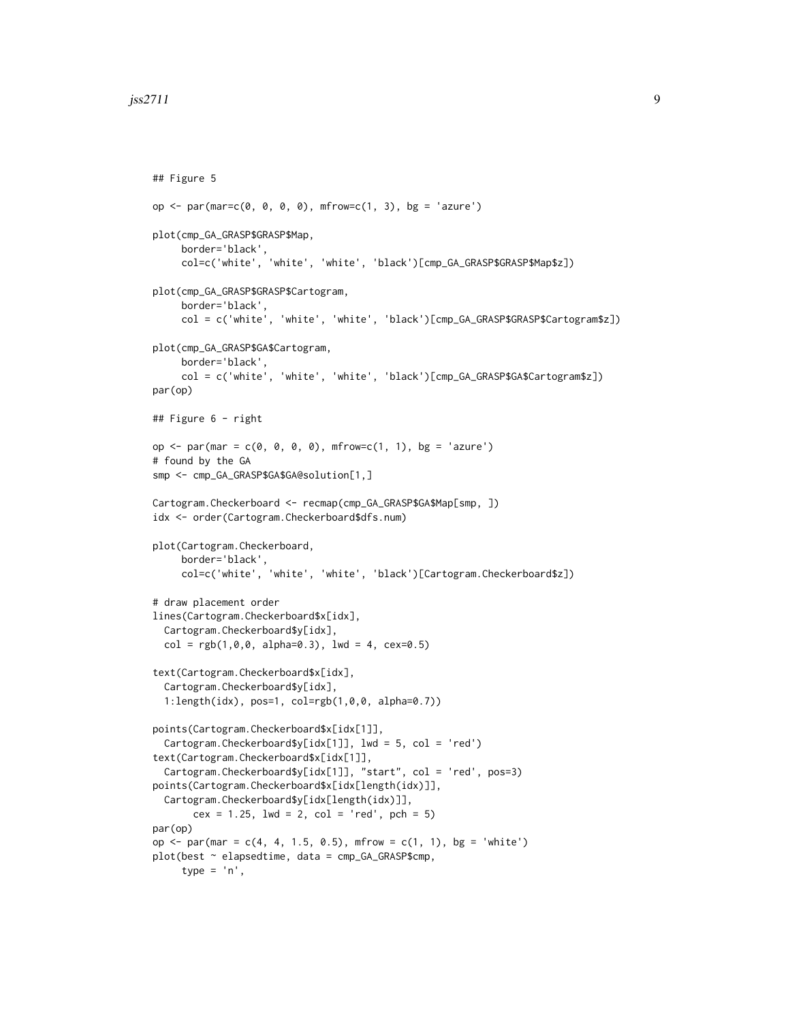```
## Figure 5
op <- par(mar=c(0, 0, 0, 0), mfrow=c(1, 3), bg = 'azure')
plot(cmp_GA_GRASP$GRASP$Map,
     border='black',
     col=c('white', 'white', 'white', 'black')[cmp_GA_GRASP$GRASP$Map$z])
plot(cmp_GA_GRASP$GRASP$Cartogram,
     border='black',
     col = c('white', 'white', 'white', 'black')[cmp_GA_GRASP$GRASP$Cartogram$z])
plot(cmp_GA_GRASP$GA$Cartogram,
     border='black',
     col = c('white', 'white', 'white', 'black')[cmp_GA_GRASP$GA$Cartogram$z])
par(op)
## Figure 6 - right
op <- par(mar = c(0, 0, 0, 0), mfrow=c(1, 1), bg = 'azure')
# found by the GA
smp <- cmp_GA_GRASP$GA$GA@solution[1,]
Cartogram.Checkerboard <- recmap(cmp_GA_GRASP$GA$Map[smp, ])
idx <- order(Cartogram.Checkerboard$dfs.num)
plot(Cartogram.Checkerboard,
     border='black',
     col=c('white', 'white', 'white', 'black')[Cartogram.Checkerboard$z])
# draw placement order
lines(Cartogram.Checkerboard$x[idx],
 Cartogram.Checkerboard$y[idx],
 col = rgb(1,0,0, alpha=0.3), lwd = 4, cex=0.5)text(Cartogram.Checkerboard$x[idx],
 Cartogram.Checkerboard$y[idx],
 1:length(idx), pos=1, col=rgb(1,0,0, alpha=0.7))
points(Cartogram.Checkerboard$x[idx[1]],
 Cartogram.Checkerboard$y[idx[1]], lwd = 5, col = 'red')
text(Cartogram.Checkerboard$x[idx[1]],
 Cartogram.Checkerboard$y[idx[1]], "start", col = 'red', pos=3)
points(Cartogram.Checkerboard$x[idx[length(idx)]],
 Cartogram.Checkerboard$y[idx[length(idx)]],
      cex = 1.25, 1wd = 2, col = 'red', pch = 5)par(op)
op <- par(mar = c(4, 4, 1.5, 0.5), mfrow = c(1, 1), bg = 'white')
plot(best ~ elapsedtime, data = cmp_GA_GRASP$cmp,
     type = 'n',
```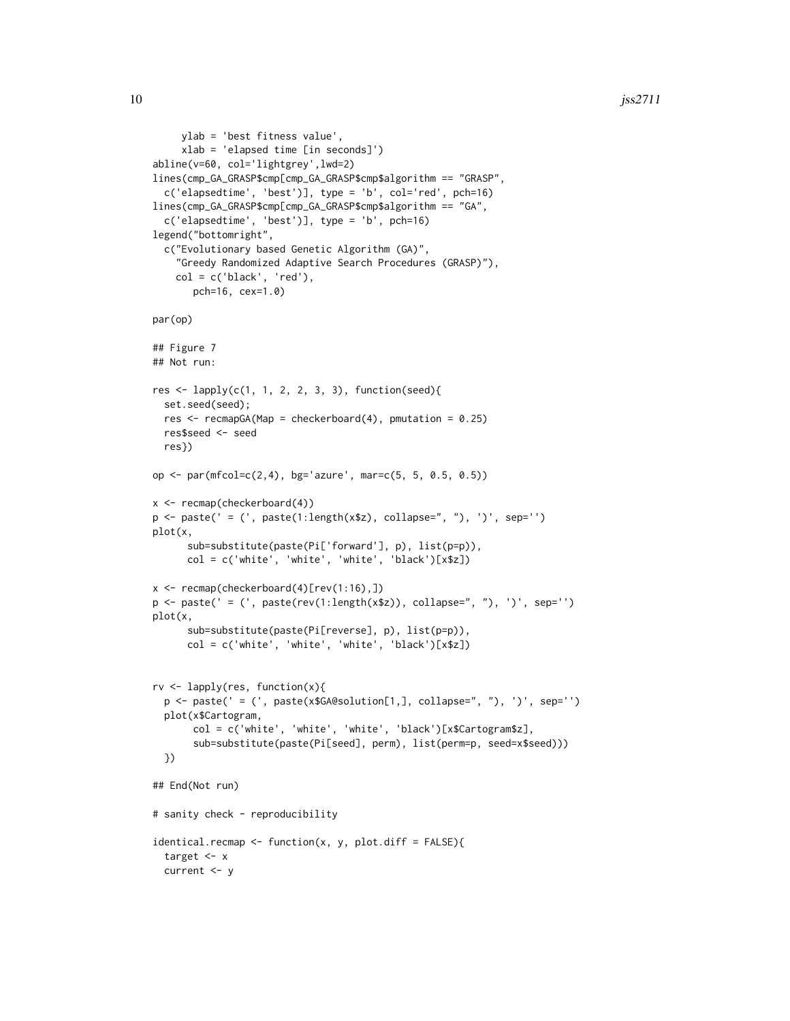```
ylab = 'best fitness value',
     xlab = 'elapsed time [in seconds]')
abline(v=60, col='lightgrey',lwd=2)
lines(cmp_GA_GRASP$cmp[cmp_GA_GRASP$cmp$algorithm == "GRASP",
  c('elapsedtime', 'best')], type = 'b', col='red', pch=16)
lines(cmp_GA_GRASP$cmp[cmp_GA_GRASP$cmp$algorithm == "GA",
  c('elapsedtime', 'best')], type = 'b', pch=16)
legend("bottomright",
  c("Evolutionary based Genetic Algorithm (GA)",
    "Greedy Randomized Adaptive Search Procedures (GRASP)"),
    col = c('black', 'red'),pch=16, cex=1.0)
par(op)
## Figure 7
## Not run:
res <- lapply(c(1, 1, 2, 2, 3, 3), function(seed){
  set.seed(seed);
  res \leq recmapGA(Map = checkerboard(4), pmutation = 0.25)
  res$seed <- seed
  res})
op <- par(mfcol=c(2,4), bg='azure', mar=c(5, 5, 0.5, 0.5))
x <- recmap(checkerboard(4))
p <- paste(' = (', paste(1:length(x$z), collapse=", "), ')', sep='')
plot(x,
      sub=substitute(paste(Pi['forward'], p), list(p=p)),
      col = c('white', 'white', 'white', 'black')[x$z])
x <- recmap(checkerboard(4)[rev(1:16),])
p \leftarrow paste(' = (', paste(rev(1:length(x$z)), collapse=", "), ')', sep='')
plot(x,
      sub=substitute(paste(Pi[reverse], p), list(p=p)),
      col = c('white', 'white', 'white', 'black')[x$z])
rv <- lapply(res, function(x){
  p <- paste(' = (', paste(x$GA@solution[1,], collapse=", "), ')', sep='')
  plot(x$Cartogram,
       col = c('white', 'white', 'white', 'black')[x$Cartogram$z],
       sub=substitute(paste(Pi[seed], perm), list(perm=p, seed=x$seed)))
  })
## End(Not run)
# sanity check - reproducibility
identical.recmap <- function(x, y, plot.diff = FALSE){
  target <- x
  current <- y
```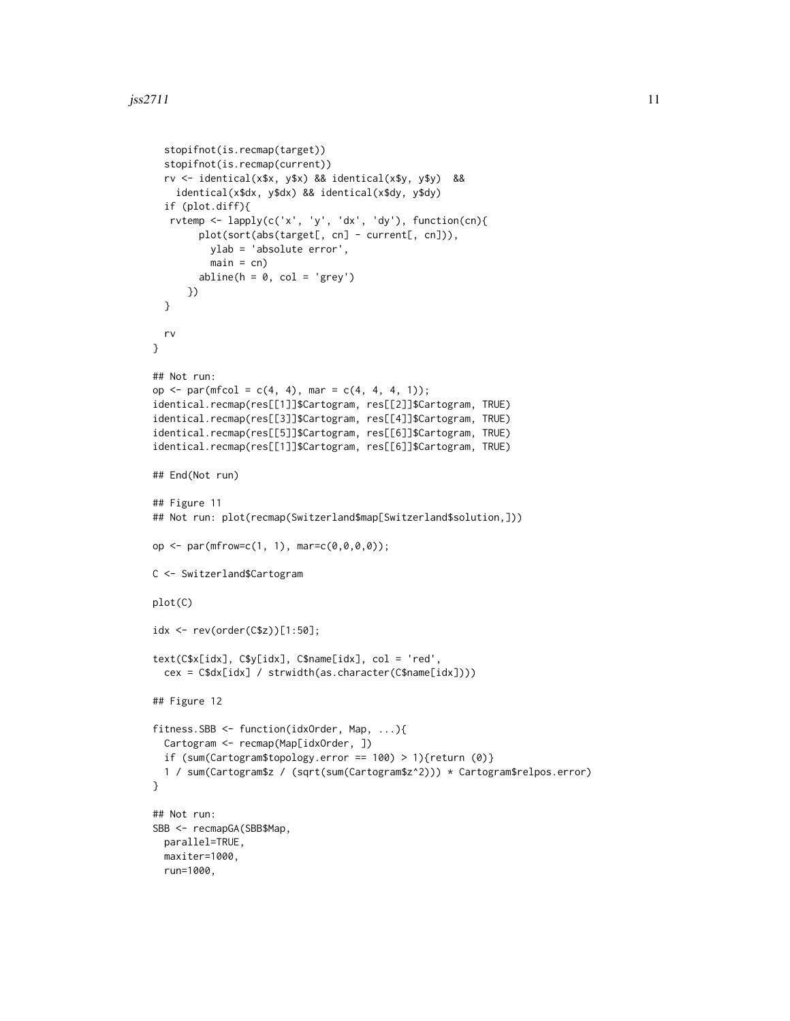```
stopifnot(is.recmap(target))
  stopifnot(is.recmap(current))
  rv <- identical(x$x, y$x) && identical(x$y, y$y) &&
    identical(x$dx, y$dx) && identical(x$dy, y$dy)
  if (plot.diff){
   rvtemp <- lapply(c('x', 'y', 'dx', 'dy'), function(cn){
        plot(sort(abs(target[, cn] - current[, cn])),
          ylab = 'absolute error',
          main = cn)abline(h = 0, col = 'grey')})
  }
  rv
}
## Not run:
op <- par(mfcol = c(4, 4), mar = c(4, 4, 4, 1));
identical.recmap(res[[1]]$Cartogram, res[[2]]$Cartogram, TRUE)
identical.recmap(res[[3]]$Cartogram, res[[4]]$Cartogram, TRUE)
identical.recmap(res[[5]]$Cartogram, res[[6]]$Cartogram, TRUE)
identical.recmap(res[[1]]$Cartogram, res[[6]]$Cartogram, TRUE)
## End(Not run)
## Figure 11
## Not run: plot(recmap(Switzerland$map[Switzerland$solution,]))
op <- par(mfrow=c(1, 1), mar=c(0,0,0,0));
C <- Switzerland$Cartogram
plot(C)
idx <- rev(order(C$z))[1:50];
text(C$x[idx], C$y[idx], C$name[idx], col = 'red',
  cex = C$dx[idx] / strwidth(as.character(C$name[idx])))
## Figure 12
fitness.SBB <- function(idxOrder, Map, ...){
  Cartogram <- recmap(Map[idxOrder, ])
  if (sum(Cartogram$topology.error == 100) > 1){return (0)}
  1 / sum(Cartogram$z / (sqrt(sum(Cartogram$z^2))) * Cartogram$relpos.error)
}
## Not run:
SBB <- recmapGA(SBB$Map,
  parallel=TRUE,
  maxiter=1000,
  run=1000,
```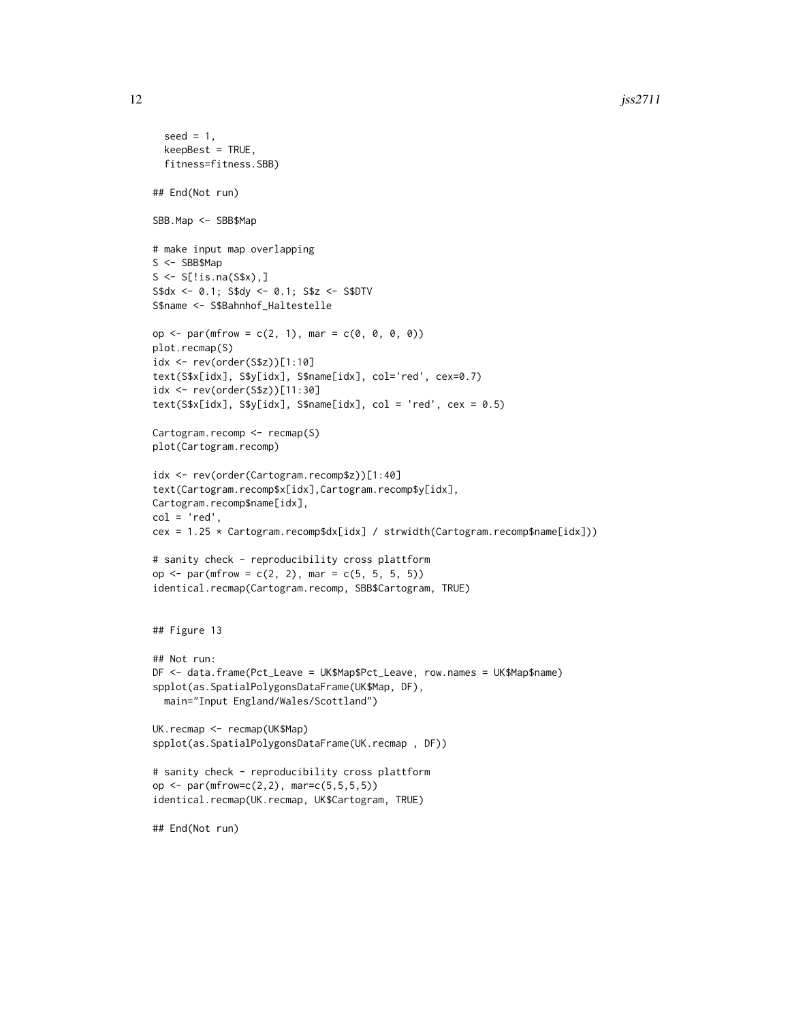```
seed = 1,
  keepBest = TRUE,
  fitness=fitness.SBB)
## End(Not run)
SBB.Map <- SBB$Map
# make input map overlapping
S <- SBB$Map
S \leftarrow S[!is.na(S$x),]
S$dx <- 0.1; S$dy <- 0.1; S$z <- S$DTV
S$name <- S$Bahnhof_Haltestelle
op <- par(mfrow = c(2, 1), mar = c(\emptyset, \emptyset, \emptyset, \emptyset))
plot.recmap(S)
idx <- rev(order(S$z))[1:10]
text(S$x[idx], S$y[idx], S$name[idx], col='red', cex=0.7)
idx <- rev(order(S$z))[11:30]
text(S$x[idx], S$y[idx], S$name[idx], col = 'red', cex = 0.5)Cartogram.recomp <- recmap(S)
plot(Cartogram.recomp)
idx <- rev(order(Cartogram.recomp$z))[1:40]
text(Cartogram.recomp$x[idx],Cartogram.recomp$y[idx],
Cartogram.recomp$name[idx],
col = 'red',cex = 1.25 * Cartogram.recomp$dx[idx] / strwidth(Cartogram.recomp$name[idx]))
# sanity check - reproducibility cross plattform
op <- par(mfrow = c(2, 2), mar = c(5, 5, 5, 5))
identical.recmap(Cartogram.recomp, SBB$Cartogram, TRUE)
## Figure 13
## Not run:
DF <- data.frame(Pct_Leave = UK$Map$Pct_Leave, row.names = UK$Map$name)
spplot(as.SpatialPolygonsDataFrame(UK$Map, DF),
  main="Input England/Wales/Scottland")
UK.recmap <- recmap(UK$Map)
spplot(as.SpatialPolygonsDataFrame(UK.recmap , DF))
# sanity check - reproducibility cross plattform
op <- par(mfrow=c(2,2), mar=c(5,5,5,5))
identical.recmap(UK.recmap, UK$Cartogram, TRUE)
## End(Not run)
```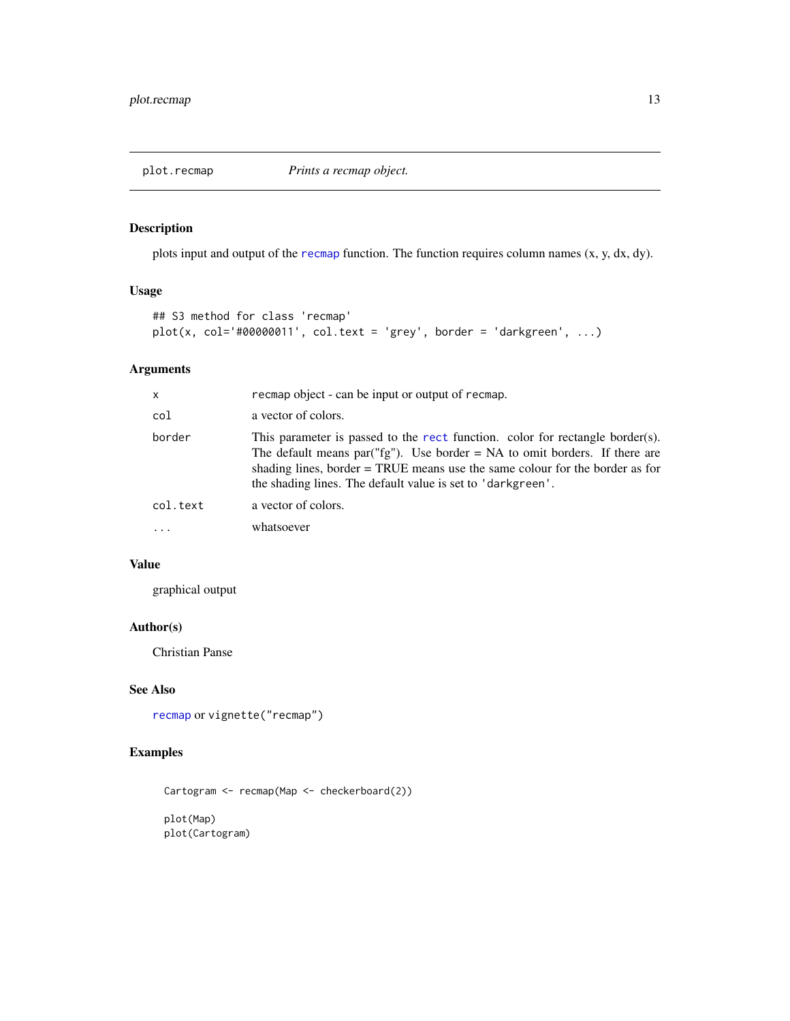#### <span id="page-12-1"></span><span id="page-12-0"></span>Description

plots input and output of the [recmap](#page-13-1) function. The function requires column names (x, y, dx, dy).

# Usage

```
## S3 method for class 'recmap'
plot(x, col='#00000011', col.text = 'grey', border = 'darkgreen', ...)
```
### Arguments

| x        | recmap object - can be input or output of recmap.                                                                                                                                                                                                                                                                                 |
|----------|-----------------------------------------------------------------------------------------------------------------------------------------------------------------------------------------------------------------------------------------------------------------------------------------------------------------------------------|
| col      | a vector of colors.                                                                                                                                                                                                                                                                                                               |
| border   | This parameter is passed to the rect function. color for rectangle border(s).<br>The default means par( $\langle f g'' \rangle$ ). Use border = NA to omit borders. If there are<br>shading lines, border $=$ TRUE means use the same colour for the border as for<br>the shading lines. The default value is set to 'darkgreen'. |
| col.text | a vector of colors.                                                                                                                                                                                                                                                                                                               |
| .        | whatsoever                                                                                                                                                                                                                                                                                                                        |
|          |                                                                                                                                                                                                                                                                                                                                   |

#### Value

graphical output

#### Author(s)

Christian Panse

#### See Also

```
recmap or vignette("recmap")
```
#### Examples

```
Cartogram <- recmap(Map <- checkerboard(2))
```
plot(Map) plot(Cartogram)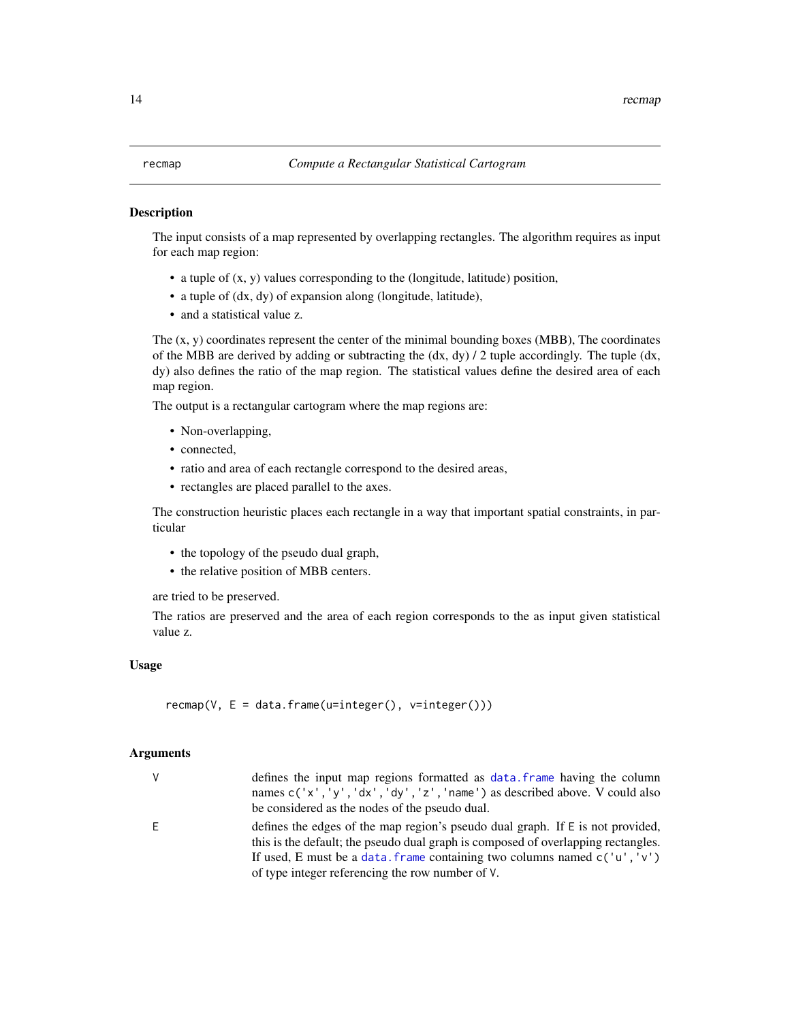#### <span id="page-13-1"></span><span id="page-13-0"></span>**Description**

The input consists of a map represented by overlapping rectangles. The algorithm requires as input for each map region:

- a tuple of (x, y) values corresponding to the (longitude, latitude) position,
- a tuple of (dx, dy) of expansion along (longitude, latitude),
- and a statistical value z.

The  $(x, y)$  coordinates represent the center of the minimal bounding boxes (MBB), The coordinates of the MBB are derived by adding or subtracting the  $(dx, dy) / 2$  tuple accordingly. The tuple  $(dx,$ dy) also defines the ratio of the map region. The statistical values define the desired area of each map region.

The output is a rectangular cartogram where the map regions are:

- Non-overlapping,
- connected.
- ratio and area of each rectangle correspond to the desired areas,
- rectangles are placed parallel to the axes.

The construction heuristic places each rectangle in a way that important spatial constraints, in particular

- the topology of the pseudo dual graph,
- the relative position of MBB centers.

are tried to be preserved.

The ratios are preserved and the area of each region corresponds to the as input given statistical value z.

#### Usage

 $r$ ecmap(V, E = data.frame(u=integer(), v=integer()))

#### Arguments

| V | defines the input map regions formatted as data, frame having the column<br>names c('x','y','dx','dy','z','name') as described above. V could also<br>be considered as the nodes of the pseudo dual.                                                                                                     |
|---|----------------------------------------------------------------------------------------------------------------------------------------------------------------------------------------------------------------------------------------------------------------------------------------------------------|
| E | defines the edges of the map region's pseudo dual graph. If $E$ is not provided,<br>this is the default; the pseudo dual graph is composed of overlapping rectangles.<br>If used, E must be a data. frame containing two columns named $c('u', 'v')$<br>of type integer referencing the row number of V. |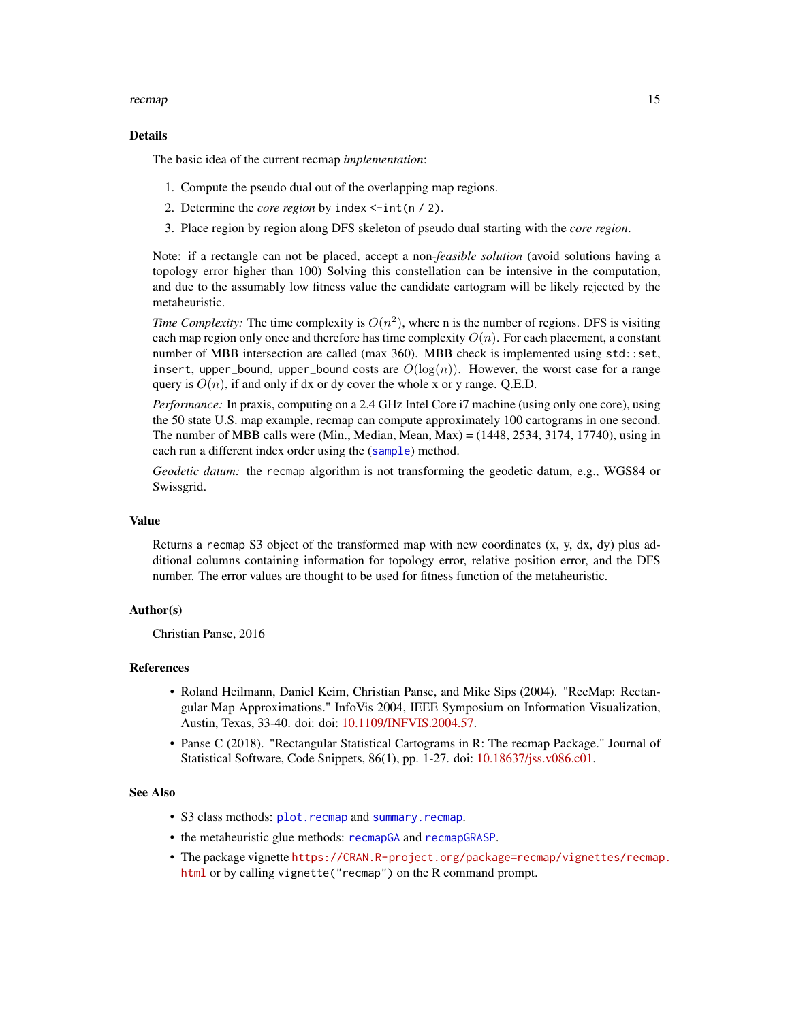#### <span id="page-14-0"></span>recmap and the set of the set of the set of the set of the set of the set of the set of the set of the set of the set of the set of the set of the set of the set of the set of the set of the set of the set of the set of th

#### Details

The basic idea of the current recmap *implementation*:

- 1. Compute the pseudo dual out of the overlapping map regions.
- 2. Determine the *core region* by index <-int(n / 2).
- 3. Place region by region along DFS skeleton of pseudo dual starting with the *core region*.

Note: if a rectangle can not be placed, accept a non-*feasible solution* (avoid solutions having a topology error higher than 100) Solving this constellation can be intensive in the computation, and due to the assumably low fitness value the candidate cartogram will be likely rejected by the metaheuristic.

*Time Complexity:* The time complexity is  $O(n^2)$ , where n is the number of regions. DFS is visiting each map region only once and therefore has time complexity  $O(n)$ . For each placement, a constant number of MBB intersection are called (max 360). MBB check is implemented using std::set, insert, upper\_bound, upper\_bound costs are  $O(\log(n))$ . However, the worst case for a range query is  $O(n)$ , if and only if dx or dy cover the whole x or y range. Q.E.D.

*Performance:* In praxis, computing on a 2.4 GHz Intel Core i7 machine (using only one core), using the 50 state U.S. map example, recmap can compute approximately 100 cartograms in one second. The number of MBB calls were (Min., Median, Mean, Max) =  $(1448, 2534, 3174, 17740)$ , using in each run a different index order using the ([sample](#page-0-0)) method.

*Geodetic datum:* the recmap algorithm is not transforming the geodetic datum, e.g., WGS84 or Swissgrid.

#### Value

Returns a recmap S3 object of the transformed map with new coordinates  $(x, y, dx, dy)$  plus additional columns containing information for topology error, relative position error, and the DFS number. The error values are thought to be used for fitness function of the metaheuristic.

#### Author(s)

Christian Panse, 2016

#### References

- Roland Heilmann, Daniel Keim, Christian Panse, and Mike Sips (2004). "RecMap: Rectangular Map Approximations." InfoVis 2004, IEEE Symposium on Information Visualization, Austin, Texas, 33-40. doi: doi: [10.1109/INFVIS.2004.57.](https://doi.org/10.1109/INFVIS.2004.57)
- Panse C (2018). "Rectangular Statistical Cartograms in R: The recmap Package." Journal of Statistical Software, Code Snippets, 86(1), pp. 1-27. doi: [10.18637/jss.v086.c01.](https://doi.org/10.18637/jss.v086.c01)

#### See Also

- S3 class methods: [plot.recmap](#page-12-1) and [summary.recmap](#page-20-1).
- the metaheuristic glue methods: [recmapGA](#page-16-1) and [recmapGRASP](#page-18-1).
- The package vignette [https://CRAN.R-project.org/package=recmap/vignettes/recmap](https://CRAN.R-project.org/package=recmap/vignettes/recmap.html). [html](https://CRAN.R-project.org/package=recmap/vignettes/recmap.html) or by calling vignette("recmap") on the R command prompt.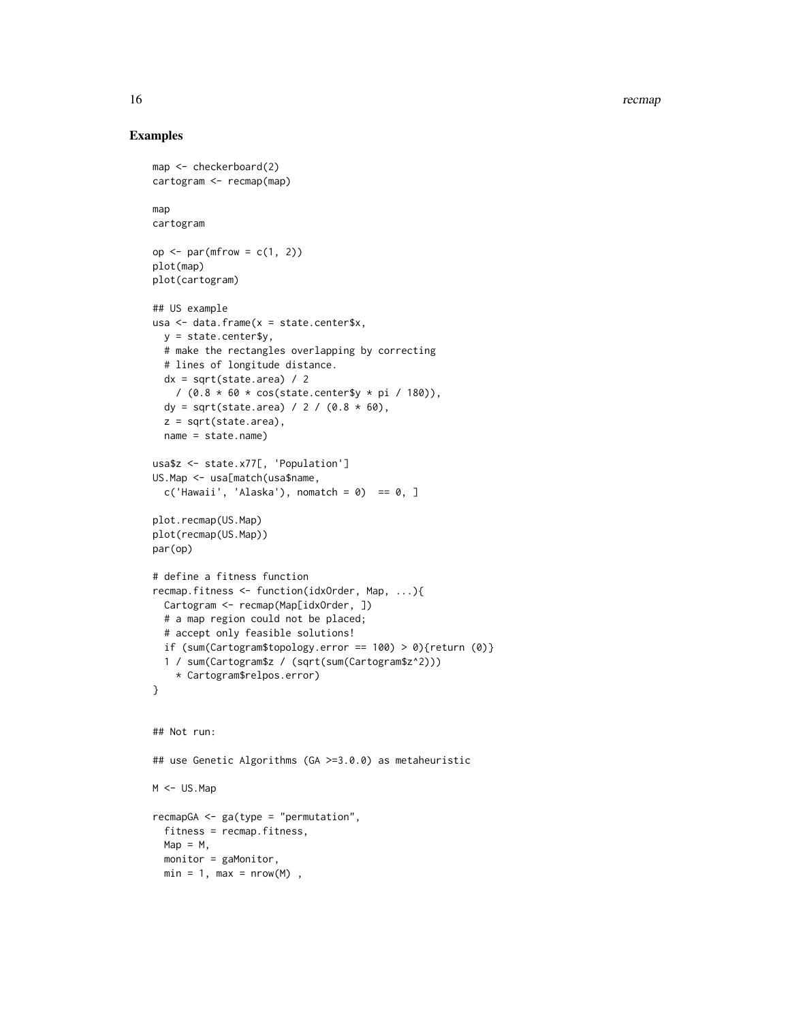16 recomplex to the contract of the contract of the contract of the contract of the contract of the contract of the contract of the contract of the contract of the contract of the contract of the contract of the contract o

```
map <- checkerboard(2)
cartogram <- recmap(map)
map
cartogram
op \leq par(mfrow = c(1, 2))
plot(map)
plot(cartogram)
## US example
usa <- data.frame(x = state.center$x,
  y = state.center$y,
  # make the rectangles overlapping by correcting
  # lines of longitude distance.
  dx = sqrt(state.area) / 2
   / (0.8 * 60 * cos(state.center$y * pi / 180)),dy = sqrt(state.area) / 2 / (0.8 * 60),
  z = sqrt(state.area),
  name = state.name)
usa$z <- state.x77[, 'Population']
US.Map <- usa[match(usa$name,
  c('Hawaii', 'Alaska'), nomatch = 0) == 0, ]plot.recmap(US.Map)
plot(recmap(US.Map))
par(op)
# define a fitness function
recmap.fitness <- function(idxOrder, Map, ...){
  Cartogram <- recmap(Map[idxOrder, ])
  # a map region could not be placed;
  # accept only feasible solutions!
  if (sum(Cartogram$topology.error == 100) > 0){return (0)}
  1 / sum(Cartogram$z / (sqrt(sum(Cartogram$z^2)))
    * Cartogram$relpos.error)
}
## Not run:
## use Genetic Algorithms (GA >=3.0.0) as metaheuristic
M <- US.Map
recmapGA <- ga(type = "permutation",
  fitness = recmap.fitness,
 Map = M,
  monitor = gaMonitor,
  min = 1, max = nrow(M),
```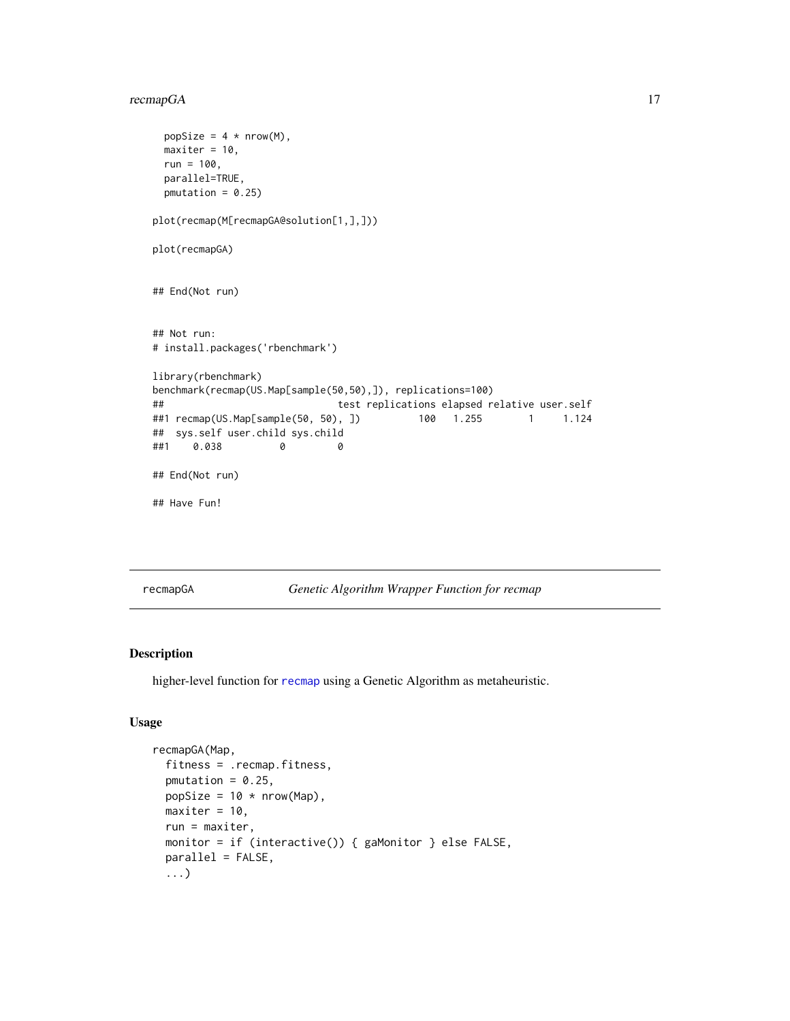#### <span id="page-16-0"></span>recmapGA 17

```
popSize = 4 * nrow(M),
 maxiter = 10,
 run = 100,
 parallel=TRUE,
 pmutation = 0.25)
plot(recmap(M[recmapGA@solution[1,],]))
plot(recmapGA)
## End(Not run)
## Not run:
# install.packages('rbenchmark')
library(rbenchmark)
benchmark(recmap(US.Map[sample(50,50),]), replications=100)
## test replications elapsed relative user.self
##1 recmap(US.Map[sample(50, 50), ]) 100 1.255 1 1.124
## sys.self user.child sys.child
##1 0.038 0 0
## End(Not run)
## Have Fun!
```
<span id="page-16-1"></span>recmapGA *Genetic Algorithm Wrapper Function for recmap*

#### Description

higher-level function for [recmap](#page-13-1) using a Genetic Algorithm as metaheuristic.

#### Usage

```
recmapGA(Map,
 fitness = .recmap.fitness,
 pmutation = 0.25,
 popSize = 10 * new (Map),
 maxiter = 10,
 run = maxiter,
 monitor = if (interactive()) { gaMonitor } else FALSE,
 parallel = FALSE,
 ...)
```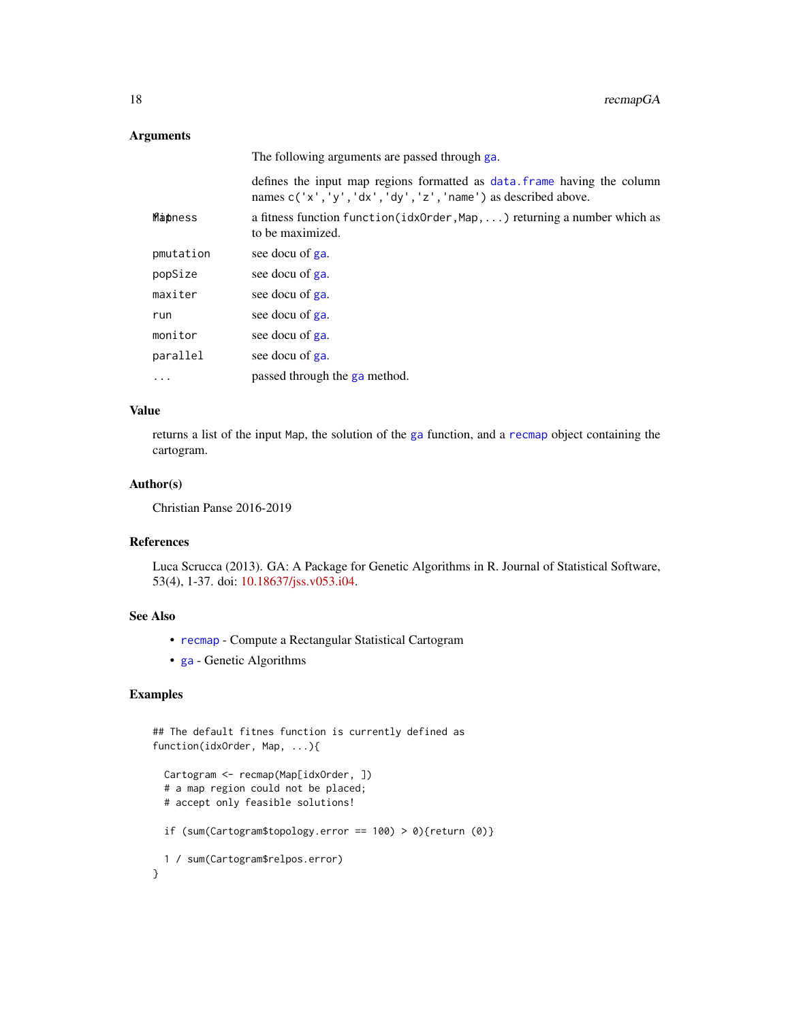#### <span id="page-17-0"></span>Arguments

|           | The following arguments are passed through ga.                                                                                               |
|-----------|----------------------------------------------------------------------------------------------------------------------------------------------|
|           | defines the input map regions formatted as data. Frame having the column<br>names $c('x', 'y', 'dx', 'dy', 'z', 'name')$ as described above. |
| Mapness   | a fitness function $\text{function}(\text{idxOrder}, \text{Map}, \ldots)$ returning a number which as<br>to be maximized.                    |
| pmutation | see docu of ga.                                                                                                                              |
| popSize   | see docu of ga.                                                                                                                              |
| maxiter   | see docu of ga.                                                                                                                              |
| run       | see docu of ga.                                                                                                                              |
| monitor   | see docu of ga.                                                                                                                              |
| parallel  | see docu of ga.                                                                                                                              |
| .         | passed through the ga method.                                                                                                                |

#### Value

returns a list of the input Map, the solution of the [ga](#page-0-0) function, and a [recmap](#page-13-1) object containing the cartogram.

#### Author(s)

Christian Panse 2016-2019

#### References

Luca Scrucca (2013). GA: A Package for Genetic Algorithms in R. Journal of Statistical Software, 53(4), 1-37. doi: [10.18637/jss.v053.i04.](https://doi.org/10.18637/jss.v053.i04)

#### See Also

- [recmap](#page-13-1) Compute a Rectangular Statistical Cartogram
- [ga](#page-0-0) Genetic Algorithms

```
## The default fitnes function is currently defined as
function(idxOrder, Map, ...){
 Cartogram <- recmap(Map[idxOrder, ])
 # a map region could not be placed;
 # accept only feasible solutions!
 if (sum(Cartogram$topology.error == 100) > 0){return (0)}
 1 / sum(Cartogram$relpos.error)
}
```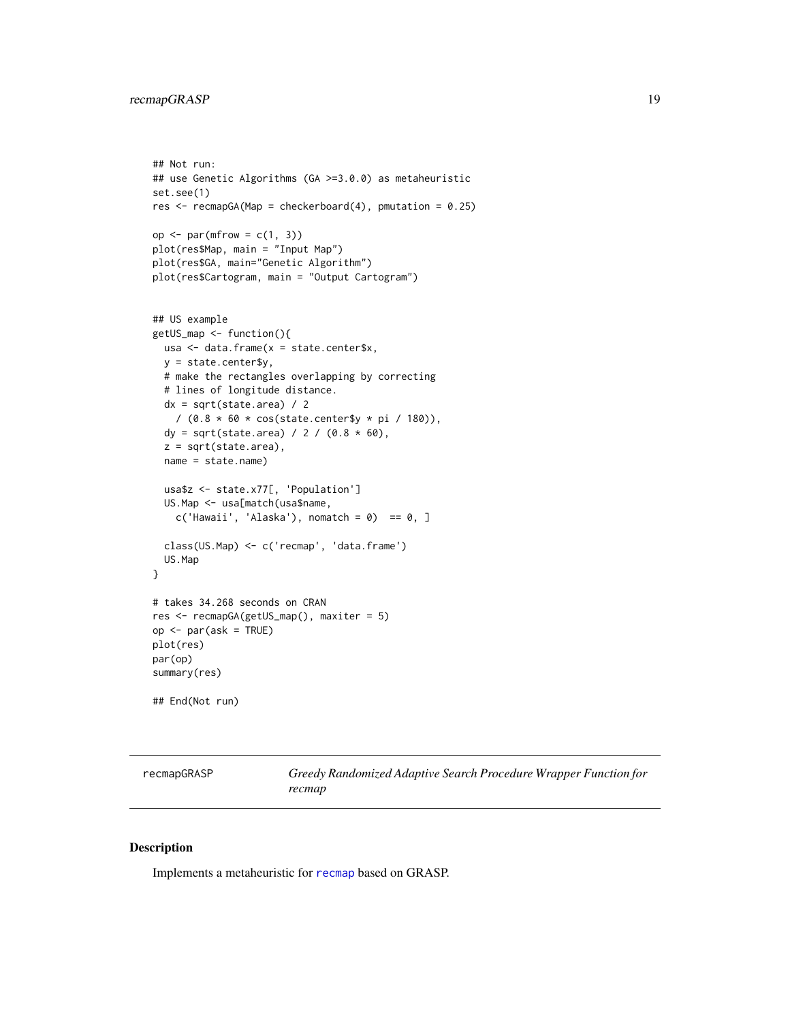#### <span id="page-18-0"></span>recmapGRASP 19

## Not run:

```
## use Genetic Algorithms (GA >=3.0.0) as metaheuristic
set.see(1)
res <- recmapGA(Map = checkerboard(4), pmutation = 0.25)
op \leq par(mfrow = c(1, 3))
plot(res$Map, main = "Input Map")
plot(res$GA, main="Genetic Algorithm")
plot(res$Cartogram, main = "Output Cartogram")
## US example
getUS_map <- function(){
  usa <- data.frame(x = state.center$x,
 y = state.center$y,
  # make the rectangles overlapping by correcting
  # lines of longitude distance.
  dx = sqrt(state.area) / 2/ (0.8 * 60 * cos(state.center$y * pi / 180)),
  dy = sqrt(state.area) / 2 / (0.8 * 60),
  z = sqrt(state.area),
  name = state.name)
  usa$z <- state.x77[, 'Population']
  US.Map <- usa[match(usa$name,
   c('Hawaii', 'Alaska'), nomatch = 0) == 0, ]class(US.Map) <- c('recmap', 'data.frame')
  US.Map
}
# takes 34.268 seconds on CRAN
res <- recmapGA(getUS_map(), maxiter = 5)
op <- par(ask = TRUE)
plot(res)
par(op)
summary(res)
## End(Not run)
```
<span id="page-18-1"></span>recmapGRASP *Greedy Randomized Adaptive Search Procedure Wrapper Function for recmap*

#### Description

Implements a metaheuristic for [recmap](#page-13-1) based on GRASP.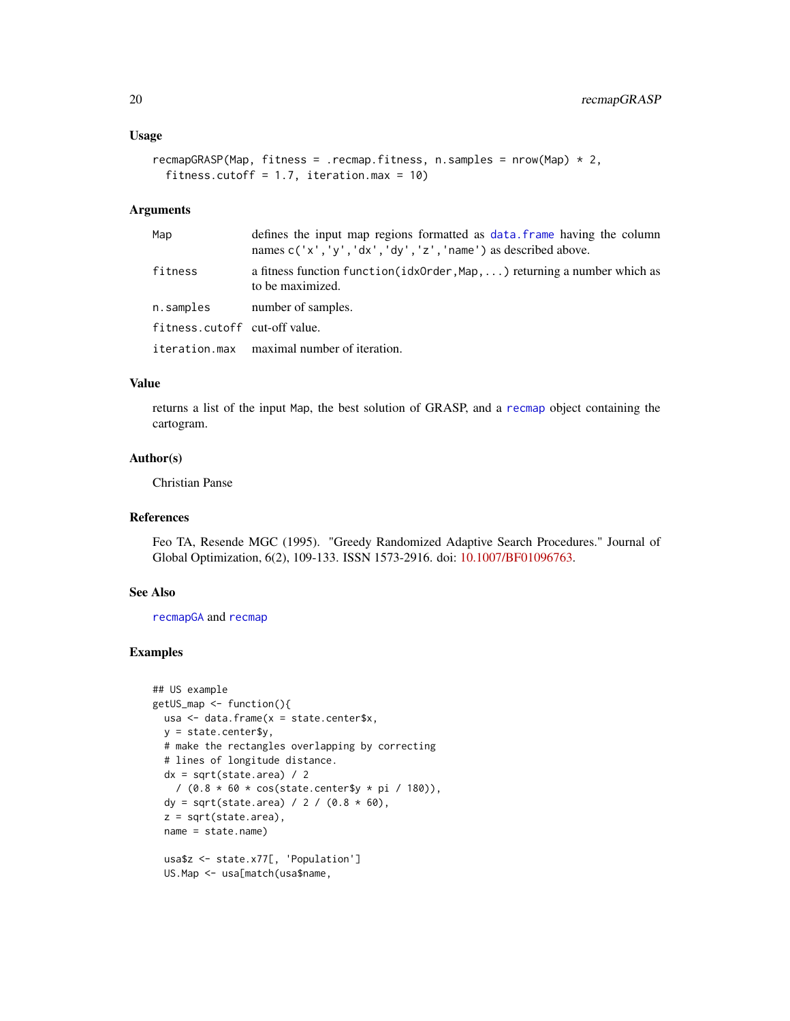#### <span id="page-19-0"></span>Usage

```
recmapGRASP(Map, fitness = .recmap.fitness, n.samples = nrow(Map) * 2,
  fitness.cutoff = 1.7, iteration.max = 10)
```
#### Arguments

| Map                           | defines the input map regions formatted as data, frame having the column<br>names $c('x', 'y', 'dx', 'dy', 'z', 'name')$ as described above. |
|-------------------------------|----------------------------------------------------------------------------------------------------------------------------------------------|
| fitness                       | a fitness function $\text{function}(idxOrder, Map, \dots)$ returning a number which as<br>to be maximized.                                   |
| n.samples                     | number of samples.                                                                                                                           |
| fitness.cutoff cut-off value. |                                                                                                                                              |
|                               | iteration.max maximal number of iteration.                                                                                                   |

#### Value

returns a list of the input Map, the best solution of GRASP, and a [recmap](#page-13-1) object containing the cartogram.

#### Author(s)

Christian Panse

#### References

Feo TA, Resende MGC (1995). "Greedy Randomized Adaptive Search Procedures." Journal of Global Optimization, 6(2), 109-133. ISSN 1573-2916. doi: [10.1007/BF01096763.](https://doi.org/10.1007/BF01096763)

#### See Also

[recmapGA](#page-16-1) and [recmap](#page-13-1)

```
## US example
getUS_map <- function(){
 usa \leq data.frame(x = state.center$x,
 y = state.center$y,
 # make the rectangles overlapping by correcting
 # lines of longitude distance.
 dx = sqrt(state.area) / 2/ (0.8 * 60 * cos(state.center$y * pi / 180)),dy = sqrt(state.area) / 2 / (0.8 * 60),
 z = sqrt(state.area),
 name = state.name)
 usa$z <- state.x77[, 'Population']
```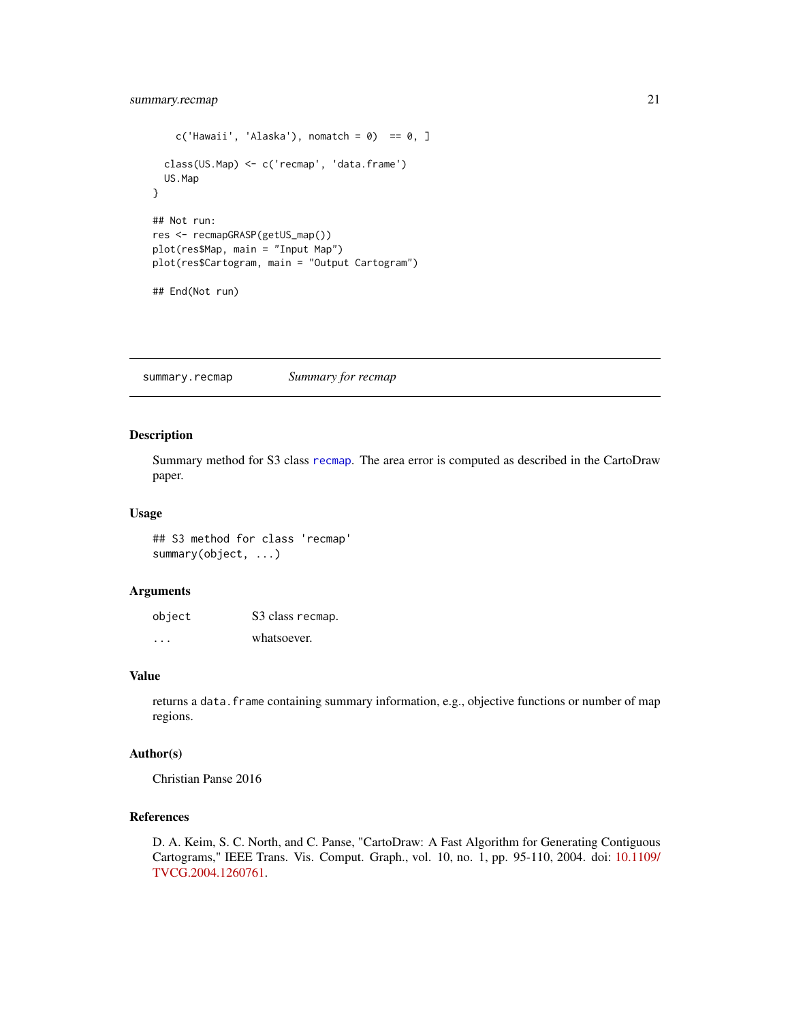```
c('Hawaii', 'Alaska'), nomatch = 0) == 0, ]class(US.Map) <- c('recmap', 'data.frame')
  US.Map
}
## Not run:
res <- recmapGRASP(getUS_map())
plot(res$Map, main = "Input Map")
plot(res$Cartogram, main = "Output Cartogram")
## End(Not run)
```
<span id="page-20-1"></span>summary.recmap *Summary for recmap*

#### Description

Summary method for S3 class [recmap](#page-13-1). The area error is computed as described in the CartoDraw paper.

#### Usage

## S3 method for class 'recmap' summary(object, ...)

#### Arguments

| object  | S3 class recmap. |
|---------|------------------|
| $\cdot$ | whatsoever.      |

#### Value

returns a data. frame containing summary information, e.g., objective functions or number of map regions.

#### Author(s)

Christian Panse 2016

#### References

D. A. Keim, S. C. North, and C. Panse, "CartoDraw: A Fast Algorithm for Generating Contiguous Cartograms," IEEE Trans. Vis. Comput. Graph., vol. 10, no. 1, pp. 95-110, 2004. doi: [10.1109/](https://doi.org/10.1109/TVCG.2004.1260761) [TVCG.2004.1260761.](https://doi.org/10.1109/TVCG.2004.1260761)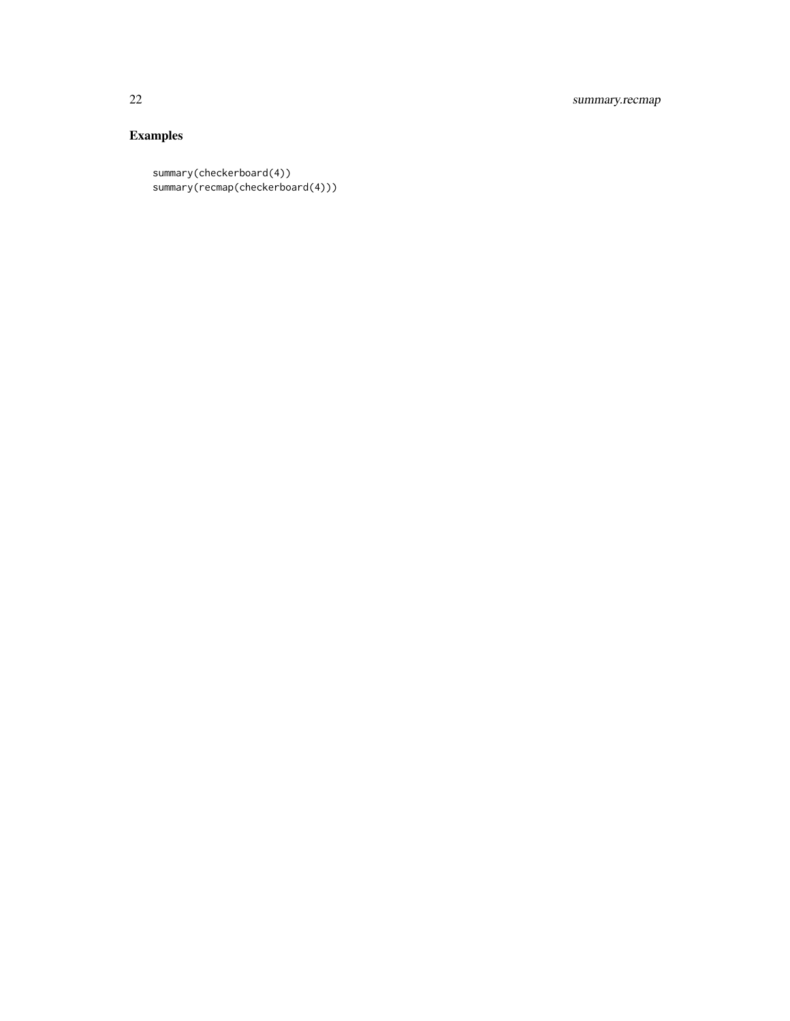22 summary.recmap

```
summary(checkerboard(4))
summary(recmap(checkerboard(4)))
```